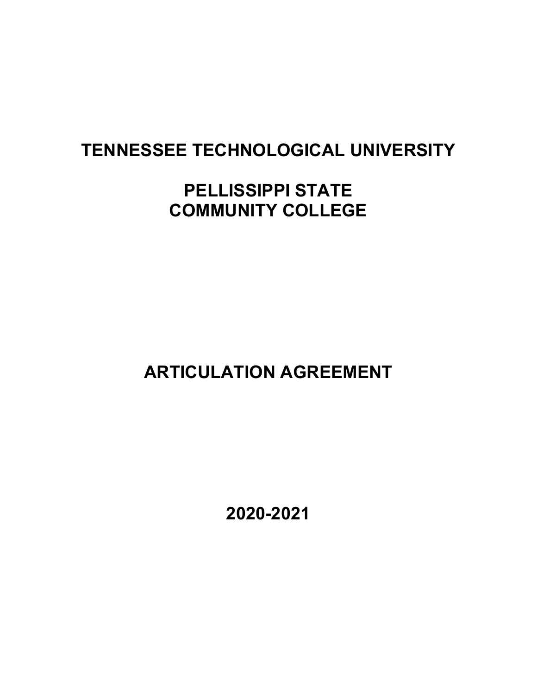# **TENNESSEE TECHNOLOGICAL UNIVERSITY**

# **PELLISSIPPI STATE COMMUNITY COLLEGE**

 **ARTICULATION AGREEMENT** 

 **2020-2021**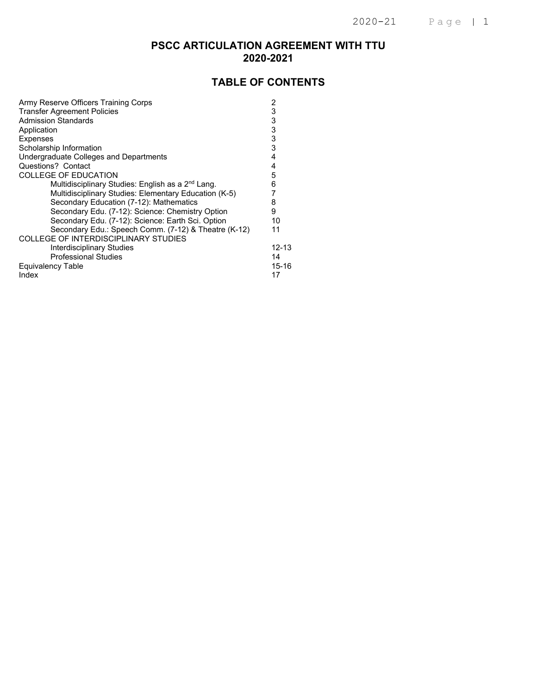### **PSCC ARTICULATION AGREEMENT WITH TTU 2020-2021**

### **TABLE OF CONTENTS**

| Army Reserve Officers Training Corps                          | 2     |
|---------------------------------------------------------------|-------|
| <b>Transfer Agreement Policies</b>                            | 3     |
| <b>Admission Standards</b>                                    | 3     |
| Application                                                   | 3     |
| <b>Expenses</b>                                               | 3     |
| Scholarship Information                                       | 3     |
| Undergraduate Colleges and Departments                        | 4     |
| Questions? Contact                                            | 4     |
| <b>COLLEGE OF EDUCATION</b>                                   | 5     |
| Multidisciplinary Studies: English as a 2 <sup>nd</sup> Lang. | 6     |
| Multidisciplinary Studies: Elementary Education (K-5)         |       |
| Secondary Education (7-12): Mathematics                       | 8     |
| Secondary Edu. (7-12): Science: Chemistry Option              | 9     |
| Secondary Edu. (7-12): Science: Earth Sci. Option             | 10    |
| Secondary Edu.: Speech Comm. (7-12) & Theatre (K-12)          | 11    |
| COLLEGE OF INTERDISCIPLINARY STUDIES                          |       |
| Interdisciplinary Studies                                     | 12-13 |
| <b>Professional Studies</b>                                   | 14    |
| <b>Equivalency Table</b>                                      | 15-16 |
| Index                                                         | 17    |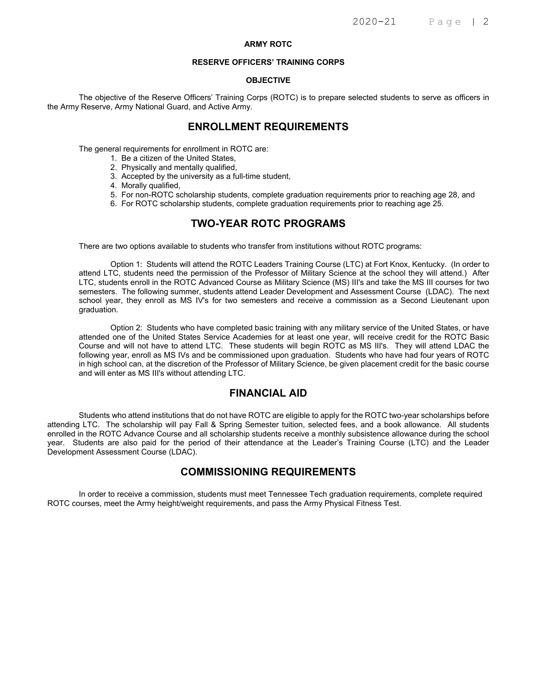#### **ARMY ROTC**

#### **RESERVE OFFICERS' TRAINING CORPS**

#### **OBJECTIVE**

The objective of the Reserve Officers' Training Corps (ROTC) is to prepare selected students to serve as officers in the Army Reserve, Army National Guard, and Active Army.

### **ENROLLMENT REQUIREMENTS**

The general requirements for enrollment in ROTC are:

- 1. Be a citizen of the United States,
- 2. Physically and mentally qualified,
- 3. Accepted by the university as a full-time student,
- 4. Morally qualified,
- 5. For non-ROTC scholarship students, complete graduation requirements prior to reaching age 28, and
- 6. For ROTC scholarship students, complete graduation requirements prior to reaching age 25.

### **TWO-YEAR ROTC PROGRAMS**

There are two options available to students who transfer from institutions without ROTC programs:

Option 1: Students will attend the ROTC Leaders Training Course (LTC) at Fort Knox, Kentucky. (In order to attend LTC, students need the permission of the Professor of Military Science at the school they will attend.) After LTC, students enroll in the ROTC Advanced Course as Military Science (MS) III's and take the MS III courses for two semesters. The following summer, students attend Leader Development and Assessment Course (LDAC). The next school year, they enroll as MS IV's for two semesters and receive a commission as a Second Lieutenant upon graduation.

Option 2: Students who have completed basic training with any military service of the United States, or have attended one of the United States Service Academies for at least one year, will receive credit for the ROTC Basic Course and will not have to attend LTC. These students will begin ROTC as MS III's. They will attend LDAC the following year, enroll as MS IVs and be commissioned upon graduation. Students who have had four years of ROTC in high school can, at the discretion of the Professor of Military Science, be given placement credit for the basic course and will enter as MS III's without attending LTC.

### **FINANCIAL AID**

Students who attend institutions that do not have ROTC are eligible to apply for the ROTC two-year scholarships before attending LTC. The scholarship will pay Fall & Spring Semester tuition, selected fees, and a book allowance. All students enrolled in the ROTC Advance Course and all scholarship students receive a monthly subsistence allowance during the school year. Students are also paid for the period of their attendance at the Leader's Training Course (LTC) and the Leader Development Assessment Course (LDAC).

#### **COMMISSIONING REQUIREMENTS**

In order to receive a commission, students must meet Tennessee Tech graduation requirements, complete required ROTC courses, meet the Army height/weight requirements, and pass the Army Physical Fitness Test.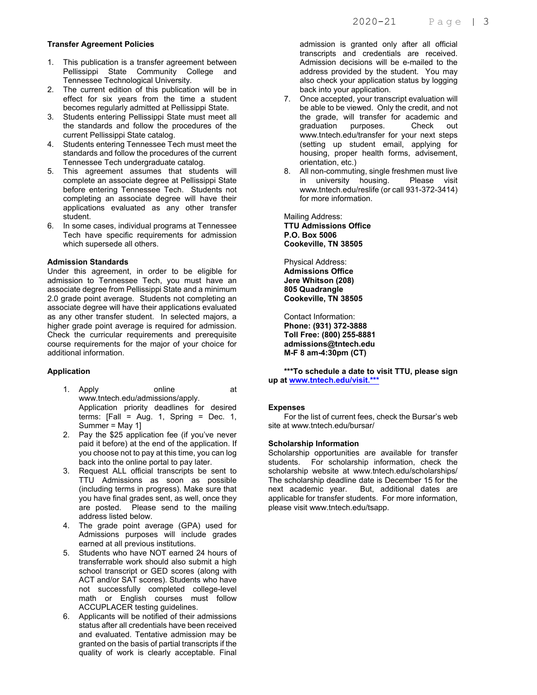#### **Transfer Agreement Policies**

- 1. This publication is a transfer agreement between Pellissippi State Community College and Tennessee Technological University.
- 2. The current edition of this publication will be in effect for six years from the time a student becomes regularly admitted at Pellissippi State.
- 3. Students entering Pellissippi State must meet all the standards and follow the procedures of the current Pellissippi State catalog.
- 4. Students entering Tennessee Tech must meet the standards and follow the procedures of the current Tennessee Tech undergraduate catalog.
- 5. This agreement assumes that students will complete an associate degree at Pellissippi State before entering Tennessee Tech. Students not completing an associate degree will have their applications evaluated as any other transfer student.
- 6. In some cases, individual programs at Tennessee Tech have specific requirements for admission which supersede all others.

#### **Admission Standards**

Under this agreement, in order to be eligible for admission to Tennessee Tech, you must have an associate degree from Pellissippi State and a minimum 2.0 grade point average. Students not completing an associate degree will have their applications evaluated as any other transfer student. In selected majors, a higher grade point average is required for admission. Check the curricular requirements and prerequisite course requirements for the major of your choice for additional information.

#### **Application**

- 1. Apply online at www.tntech.edu/admissions/apply. Application priority deadlines for desired terms:  $[Fall = Aug. 1, Spring = Dec. 1, ]$ Summer = May 1]
- 2. Pay the \$25 application fee (if you've never paid it before) at the end of the application. If you choose not to pay at this time, you can log back into the online portal to pay later.
- 3. Request ALL official transcripts be sent to TTU Admissions as soon as possible (including terms in progress). Make sure that you have final grades sent, as well, once they are posted. Please send to the mailing address listed below.
- 4. The grade point average (GPA) used for Admissions purposes will include grades earned at all previous institutions.
- 5. Students who have NOT earned 24 hours of transferrable work should also submit a high school transcript or GED scores (along with ACT and/or SAT scores). Students who have not successfully completed college-level math or English courses must follow ACCUPLACER testing guidelines.
- 6. Applicants will be notified of their admissions status after all credentials have been received and evaluated. Tentative admission may be granted on the basis of partial transcripts if the quality of work is clearly acceptable. Final

admission is granted only after all official transcripts and credentials are received. Admission decisions will be e-mailed to the address provided by the student. You may also check your application status by logging back into your application.

- 7. Once accepted, your transcript evaluation will be able to be viewed. Only the credit, and not the grade, will transfer for academic and<br>graduation purposes. Check out graduation purposes. Check out www.tntech.edu/transfer for your next steps (setting up student email, applying for housing, proper health forms, advisement, orientation, etc.)
- 8. All non-commuting, single freshmen must live in university housing. Please visit www.tntech.edu/reslife (or call 931-372-3414) for more information.

Mailing Address: **TTU Admissions Office P.O. Box 5006 Cookeville, TN 38505** 

Physical Address: **Admissions Office Jere Whitson (208) 805 Quadrangle Cookeville, TN 38505** 

Contact Information: **Phone: (931) 372-3888 Toll Free: (800) 255-8881 admissions@tntech.edu M-F 8 am-4:30pm (CT)** 

**\*\*\*To schedule a date to visit TTU, please sign up at www.tntech.edu/visit.\*\*\***

#### **Expenses**

 For the list of current fees, check the Bursar's web site at www.tntech.edu/bursar/

#### **Scholarship Information**

Scholarship opportunities are available for transfer students. For scholarship information, check the scholarship website at www.tntech.edu/scholarships/ The scholarship deadline date is December 15 for the next academic year. But, additional dates are applicable for transfer students. For more information, please visit www.tntech.edu/tsapp.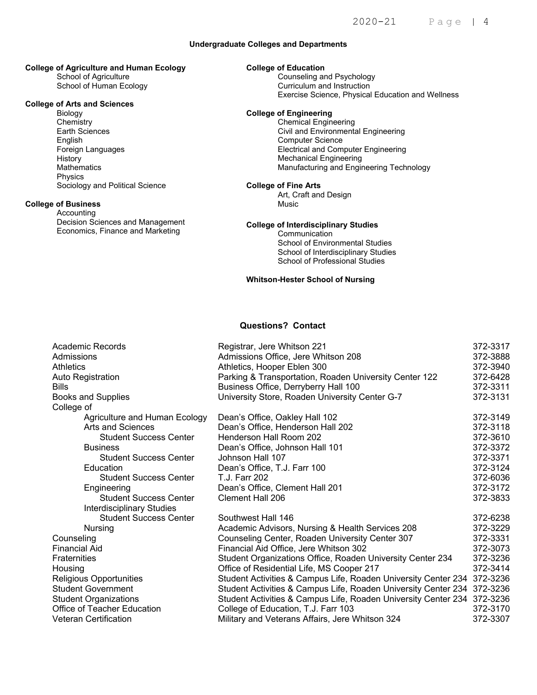#### **Undergraduate Colleges and Departments**

### **College of Agriculture and Human Ecology**

 School of Agriculture School of Human Ecology

#### **College of Arts and Sciences**

 Biology **Chemistry** Earth Sciences English Foreign Languages **History Mathematics**  Physics Sociology and Political Science

#### **College of Business**

 Accounting Decision Sciences and Management Economics, Finance and Marketing

#### **College of Education**

**Counseling and Psychology**<br>
Counseling and Instruction **Exercise Science, Physical Education and Wellness** Curriculum and Instruction

### **PELLIST STATE TECHNICAL COLLEGE ARE COLLEGE OF Engineering**<br> **PELLIST STATE TECHNICAL COLLEGE OF Engineering**

Chemical Engineering Civil and Environmental Engineering Computer Science Electrical and Computer Engineering Mechanical Engineering Manufacturing and Engineering Technology

#### **College of Fine Arts**

Art, Craft and Design Music

#### **College of Interdisciplinary Studies**

**Communication** School of Environmental Studies School of Interdisciplinary Studies School of Professional Studies

#### **Whitson-Hester School of Nursing**

### **Questions? Contact**

| Academic Records              | Registrar, Jere Whitson 221                                             | 372-3317 |
|-------------------------------|-------------------------------------------------------------------------|----------|
| Admissions                    | Admissions Office, Jere Whitson 208                                     | 372-3888 |
| <b>Athletics</b>              | Athletics, Hooper Eblen 300                                             | 372-3940 |
| Auto Registration             | Parking & Transportation, Roaden University Center 122                  | 372-6428 |
| <b>Bills</b>                  | Business Office, Derryberry Hall 100                                    | 372-3311 |
| <b>Books and Supplies</b>     | University Store, Roaden University Center G-7                          | 372-3131 |
| College of                    |                                                                         |          |
| Agriculture and Human Ecology | Dean's Office, Oakley Hall 102                                          | 372-3149 |
| Arts and Sciences             | Dean's Office, Henderson Hall 202                                       | 372-3118 |
| <b>Student Success Center</b> | Henderson Hall Room 202                                                 | 372-3610 |
| <b>Business</b>               | Dean's Office, Johnson Hall 101                                         | 372-3372 |
| <b>Student Success Center</b> | Johnson Hall 107                                                        | 372-3371 |
| Education                     | Dean's Office, T.J. Farr 100                                            | 372-3124 |
| <b>Student Success Center</b> | T.J. Farr 202                                                           | 372-6036 |
| Engineering                   | Dean's Office, Clement Hall 201                                         | 372-3172 |
| <b>Student Success Center</b> | Clement Hall 206                                                        | 372-3833 |
| Interdisciplinary Studies     |                                                                         |          |
| <b>Student Success Center</b> | Southwest Hall 146                                                      | 372-6238 |
| Nursing                       | Academic Advisors, Nursing & Health Services 208                        | 372-3229 |
| Counseling                    | Counseling Center, Roaden University Center 307                         | 372-3331 |
| <b>Financial Aid</b>          | Financial Aid Office, Jere Whitson 302                                  | 372-3073 |
| <b>Fraternities</b>           | Student Organizations Office, Roaden University Center 234              | 372-3236 |
| Housing                       | Office of Residential Life, MS Cooper 217                               | 372-3414 |
| Religious Opportunities       | Student Activities & Campus Life, Roaden University Center 234          | 372-3236 |
| <b>Student Government</b>     | Student Activities & Campus Life, Roaden University Center 234 372-3236 |          |
| <b>Student Organizations</b>  | Student Activities & Campus Life, Roaden University Center 234          | 372-3236 |
| Office of Teacher Education   | College of Education, T.J. Farr 103                                     | 372-3170 |
| <b>Veteran Certification</b>  | Military and Veterans Affairs, Jere Whitson 324                         | 372-3307 |
|                               |                                                                         |          |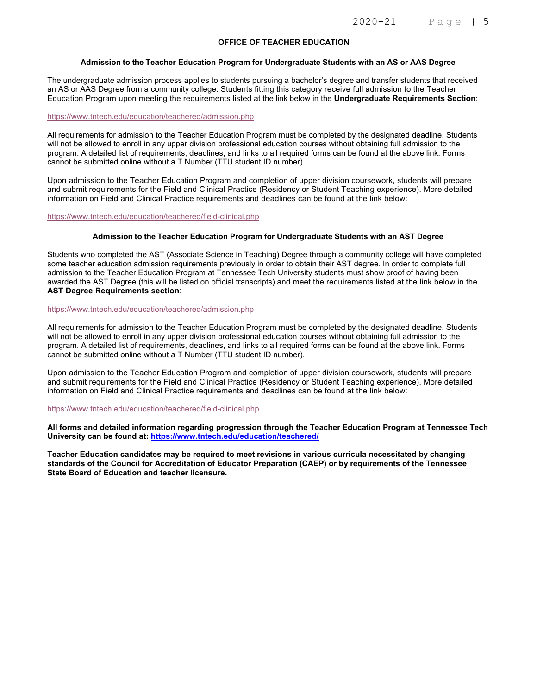#### **OFFICE OF TEACHER EDUCATION**

#### **Admission to the Teacher Education Program for Undergraduate Students with an AS or AAS Degree**

The undergraduate admission process applies to students pursuing a bachelor's degree and transfer students that received an AS or AAS Degree from a community college. Students fitting this category receive full admission to the Teacher Education Program upon meeting the requirements listed at the link below in the **Undergraduate Requirements Section**:

#### https://www.tntech.edu/education/teachered/admission.php

All requirements for admission to the Teacher Education Program must be completed by the designated deadline. Students will not be allowed to enroll in any upper division professional education courses without obtaining full admission to the program. A detailed list of requirements, deadlines, and links to all required forms can be found at the above link. Forms cannot be submitted online without a T Number (TTU student ID number).

Upon admission to the Teacher Education Program and completion of upper division coursework, students will prepare and submit requirements for the Field and Clinical Practice (Residency or Student Teaching experience). More detailed information on Field and Clinical Practice requirements and deadlines can be found at the link below:

https://www.tntech.edu/education/teachered/field-clinical.php

#### **Admission to the Teacher Education Program for Undergraduate Students with an AST Degree**

Students who completed the AST (Associate Science in Teaching) Degree through a community college will have completed some teacher education admission requirements previously in order to obtain their AST degree. In order to complete full admission to the Teacher Education Program at Tennessee Tech University students must show proof of having been awarded the AST Degree (this will be listed on official transcripts) and meet the requirements listed at the link below in the **AST Degree Requirements section**:

#### https://www.tntech.edu/education/teachered/admission.php

All requirements for admission to the Teacher Education Program must be completed by the designated deadline. Students will not be allowed to enroll in any upper division professional education courses without obtaining full admission to the program. A detailed list of requirements, deadlines, and links to all required forms can be found at the above link. Forms cannot be submitted online without a T Number (TTU student ID number).

Upon admission to the Teacher Education Program and completion of upper division coursework, students will prepare and submit requirements for the Field and Clinical Practice (Residency or Student Teaching experience). More detailed information on Field and Clinical Practice requirements and deadlines can be found at the link below:

#### https://www.tntech.edu/education/teachered/field-clinical.php

**All forms and detailed information regarding progression through the Teacher Education Program at Tennessee Tech University can be found at: https://www.tntech.edu/education/teachered/** 

**Teacher Education candidates may be required to meet revisions in various curricula necessitated by changing standards of the Council for Accreditation of Educator Preparation (CAEP) or by requirements of the Tennessee State Board of Education and teacher licensure.**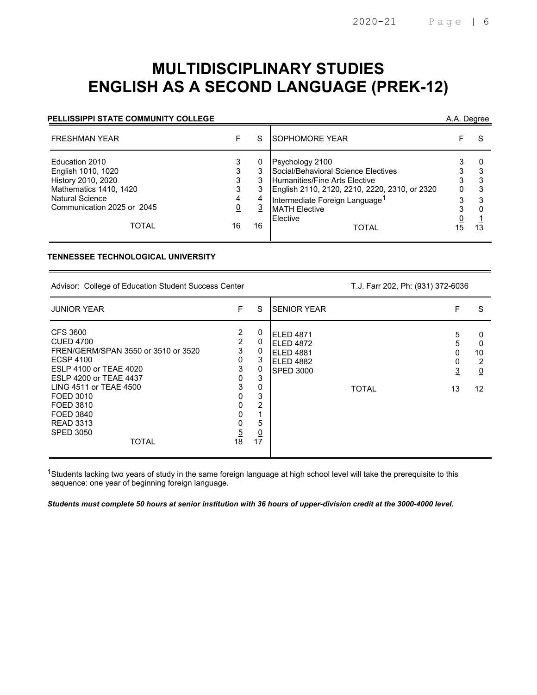# **MULTIDISCIPLINARY STUDIES ENGLISH AS A SECOND LANGUAGE (PREK-12)**

#### **PELLISSIPPI STATE COMMUNITY COLLEGE** A.A. Degree

| Psychology 2100<br>Education 2010<br>Social/Behavioral Science Electives<br>3<br>English 1010, 1020<br>3<br>3<br><b>Humanities/Fine Arts Elective</b><br>History 2010, 2020<br>3                                                                                                                  | <b>FRESHMAN YEAR</b> |                   |
|---------------------------------------------------------------------------------------------------------------------------------------------------------------------------------------------------------------------------------------------------------------------------------------------------|----------------------|-------------------|
| Mathematics 1410, 1420<br>3<br>English 2110, 2120, 2210, 2220, 2310, or 2320<br>0<br><b>Natural Science</b><br>Intermediate Foreign Language <sup>1</sup><br>4<br>Communication 2025 or 2045<br><u>3</u><br><u>0</u><br><b>MATH Elective</b><br>3<br>Elective<br>TOTAL<br>16<br>16<br>15<br>TOTAL |                      | 3<br>3<br>3<br>13 |

#### **TENNESSEE TECHNOLOGICAL UNIVERSITY**

Advisor: College of Education Student Success Center T.J. Farr 202, Ph: (931) 372-6036

| <b>JUNIOR YEAR</b>                                                                                                                                                                                                                                                                 | F                                                                     | S                                                                      | <b>SENIOR YEAR</b>                                                                          | F                 | S                                         |
|------------------------------------------------------------------------------------------------------------------------------------------------------------------------------------------------------------------------------------------------------------------------------------|-----------------------------------------------------------------------|------------------------------------------------------------------------|---------------------------------------------------------------------------------------------|-------------------|-------------------------------------------|
| <b>CFS 3600</b><br><b>CUED 4700</b><br>FREN/GERM/SPAN 3550 or 3510 or 3520<br><b>ECSP 4100</b><br>ESLP 4100 or TEAE 4020<br><b>ESLP 4200 or TEAE 4437</b><br>LING 4511 or TEAE 4500<br>FOED 3010<br>FOED 3810<br>FOED 3840<br><b>READ 3313</b><br><b>SPED 3050</b><br><b>TOTAL</b> | 2<br>2<br>3<br>0<br>3<br>0<br>3<br>0<br>0<br>0<br>0<br>$\frac{5}{18}$ | 0<br>0<br>0<br>3<br>0<br>3<br>0<br>3<br>2<br>5<br>$\overline{0}$<br>17 | ELED 4871<br><b>ELED 4872</b><br>ELED 4881<br>ELED 4882<br><b>SPED 3000</b><br><b>TOTAL</b> | 5<br>5<br>3<br>13 | 0<br>0<br>10<br>2<br>$\overline{0}$<br>12 |

<sup>1</sup>Students lacking two years of study in the same foreign language at high school level will take the prerequisite to this sequence: one year of beginning foreign language.

*Students must complete 50 hours at senior institution with 36 hours of upper-division credit at the 3000-4000 level.*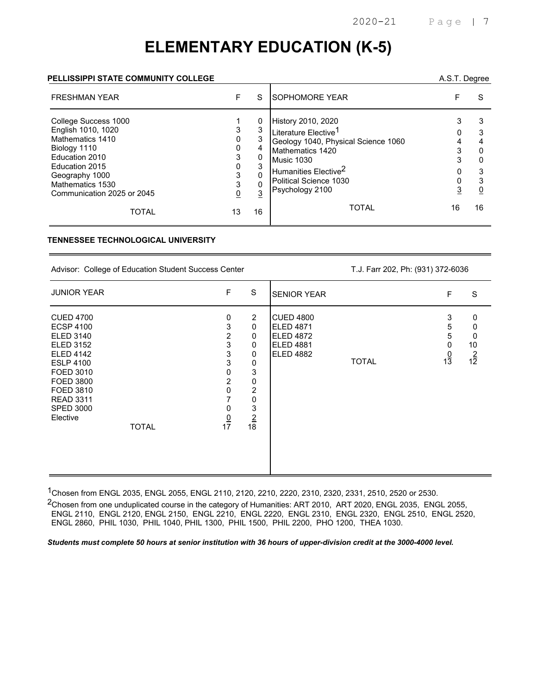# **ELEMENTARY EDUCATION (K-5)**

#### **PELLISSIPPI STATE COMMUNITY COLLEGE** A.S.T. Degree

| <b>FRESHMAN YEAR</b>                                                                                                                                                                   | F  | S                                      | <b>ISOPHOMORE YEAR</b>                                                                                                                                                                                           |    | S  |
|----------------------------------------------------------------------------------------------------------------------------------------------------------------------------------------|----|----------------------------------------|------------------------------------------------------------------------------------------------------------------------------------------------------------------------------------------------------------------|----|----|
| College Success 1000<br>English 1010, 1020<br>Mathematics 1410<br>Biology 1110<br>Education 2010<br>Education 2015<br>Geography 1000<br>Mathematics 1530<br>Communication 2025 or 2045 |    | 0<br>3<br>4<br>0<br>3<br>$\Omega$<br>3 | History 2010, 2020<br>Literature Elective <sup>1</sup><br>Geology 1040, Physical Science 1060<br>Mathematics 1420<br>Music 1030<br>Humanities Elective <sup>2</sup><br>Political Science 1030<br>Psychology 2100 |    | 3  |
| TOTAL                                                                                                                                                                                  | 13 | 16                                     | <b>TOTAL</b>                                                                                                                                                                                                     | 16 | 16 |

#### **TENNESSEE TECHNOLOGICAL UNIVERSITY**

Advisor: College of Education Student Success Center T.J. Farr 202, Ph: (931) 372-6036

| <b>JUNIOR YEAR</b>                                                                                                                                                                                                              | F                                                                                         | S                                                                                                                         | <b>SENIOR YEAR</b>                                                                                               | F                                  | S                                   |
|---------------------------------------------------------------------------------------------------------------------------------------------------------------------------------------------------------------------------------|-------------------------------------------------------------------------------------------|---------------------------------------------------------------------------------------------------------------------------|------------------------------------------------------------------------------------------------------------------|------------------------------------|-------------------------------------|
| <b>CUED 4700</b><br><b>ECSP 4100</b><br><b>ELED 3140</b><br><b>ELED 3152</b><br><b>ELED 4142</b><br><b>ESLP 4100</b><br>FOED 3010<br>FOED 3800<br>FOED 3810<br><b>READ 3311</b><br><b>SPED 3000</b><br>Elective<br><b>TOTAL</b> | 0<br>3<br>2<br>3<br>3<br>3<br>0<br>$\overline{2}$<br>$\Omega$<br>7<br>0<br>$\frac{0}{17}$ | $\overline{2}$<br>$\mathbf 0$<br>0<br>0<br>0<br>0<br>$\mathsf 3$<br>0<br>$\overline{c}$<br>0<br>3<br>$\overline{2}$<br>18 | <b>CUED 4800</b><br><b>ELED 4871</b><br><b>ELED 4872</b><br><b>ELED 4881</b><br><b>ELED 4882</b><br><b>TOTAL</b> | 3<br>5<br>5<br>0<br>$\frac{0}{13}$ | 0<br>0<br>0<br>10<br>$\frac{2}{12}$ |

1Chosen from ENGL 2035, ENGL 2055, ENGL 2110, 2120, 2210, 2220, 2310, 2320, 2331, 2510, 2520 or 2530.

2Chosen from one unduplicated course in the category of Humanities: ART 2010, ART 2020, ENGL 2035, ENGL 2055, ENGL 2110, ENGL 2120, ENGL 2150, ENGL 2210, ENGL 2220, ENGL 2310, ENGL 2320, ENGL 2510, ENGL 2520, ENGL 2860, PHIL 1030, PHIL 1040, PHIL 1300, PHIL 1500, PHIL 2200, PHO 1200, THEA 1030.

*Students must complete 50 hours at senior institution with 36 hours of upper-division credit at the 3000-4000 level.*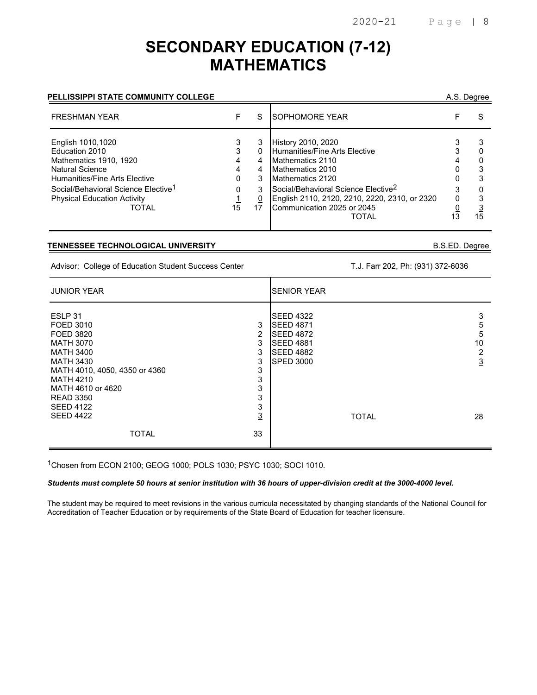## **SECONDARY EDUCATION (7-12) MATHEMATICS**

### PELLISSIPPI STATE COMMUNITY COLLEGE **A.S. Degree**

| <b>FRESHMAN YEAR</b>                                                                                                                                                                                                       |         | S                                     | <b>ISOPHOMORE YEAR</b>                                                                                                                                                                                                                                     |    |
|----------------------------------------------------------------------------------------------------------------------------------------------------------------------------------------------------------------------------|---------|---------------------------------------|------------------------------------------------------------------------------------------------------------------------------------------------------------------------------------------------------------------------------------------------------------|----|
| English 1010,1020<br>Education 2010<br>Mathematics 1910, 1920<br><b>Natural Science</b><br>Humanities/Fine Arts Elective<br>Social/Behavioral Science Elective <sup>1</sup><br><b>Physical Education Activity</b><br>TOTAL | 0<br>15 | 3<br>0<br>4<br>4<br>3<br>3<br>0<br>17 | History 2010, 2020<br>Humanities/Fine Arts Elective<br>Mathematics 2110<br>Mathematics 2010<br>Mathematics 2120<br>Social/Behavioral Science Elective <sup>2</sup><br>English 2110, 2120, 2210, 2220, 2310, or 2320<br>Communication 2025 or 2045<br>TOTAL | 15 |

#### **TENNESSEE TECHNOLOGICAL UNIVERSITY** B.S.ED. Degree

Advisor: College of Education Student Success Center T.J. Farr 202, Ph: (931) 372-6036

| <b>JUNIOR YEAR</b>                                                                                                                                                                    | <b>SENIOR YEAR</b>                                                                                                                                               |
|---------------------------------------------------------------------------------------------------------------------------------------------------------------------------------------|------------------------------------------------------------------------------------------------------------------------------------------------------------------|
| ESLP 31<br>3<br>FOED 3010<br>2<br>FOED 3820<br>3<br><b>MATH 3070</b><br>3<br><b>MATH 3400</b><br>3<br><b>MATH 3430</b><br>3<br>MATH 4010, 4050, 4350 or 4360<br>3<br><b>MATH 4210</b> | <b>SEED 4322</b><br>3<br><b>SEED 4871</b><br>5<br><b>SEED 4872</b><br>5<br>10<br><b>SEED 4881</b><br><b>SEED 4882</b><br>2<br>$\overline{3}$<br><b>SPED 3000</b> |
| 3<br>MATH 4610 or 4620<br>3<br><b>READ 3350</b><br>3<br><b>SEED 4122</b><br>$\overline{3}$<br><b>SEED 4422</b><br>33<br><b>TOTAL</b>                                                  | <b>TOTAL</b><br>28                                                                                                                                               |

1Chosen from ECON 2100; GEOG 1000; POLS 1030; PSYC 1030; SOCI 1010.

#### *Students must complete 50 hours at senior institution with 36 hours of upper-division credit at the 3000-4000 level.*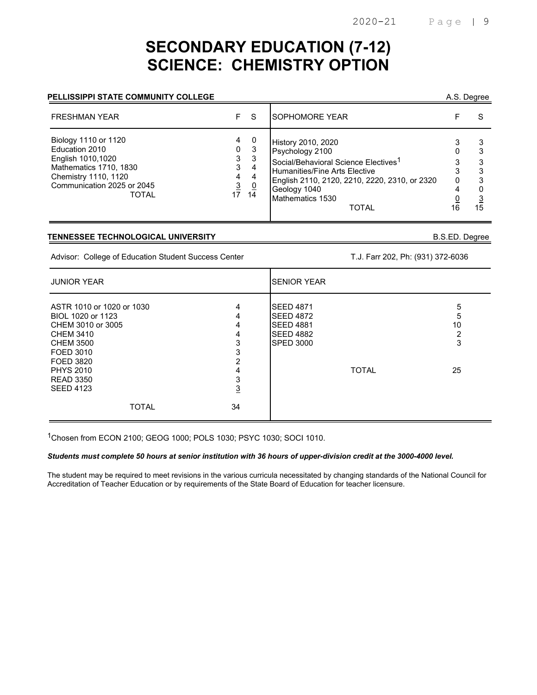# **SECONDARY EDUCATION (7-12) SCIENCE: CHEMISTRY OPTION**

#### **PELLISSIPPI STATE COMMUNITY COLLEGE**

| A.S. Degree |
|-------------|
|             |

| <b>FRESHMAN YEAR</b>                                                                                                                                        |                                         | -S                                       | <b>SOPHOMORE YEAR</b>                                                                                                                                                                                                           |              |    |
|-------------------------------------------------------------------------------------------------------------------------------------------------------------|-----------------------------------------|------------------------------------------|---------------------------------------------------------------------------------------------------------------------------------------------------------------------------------------------------------------------------------|--------------|----|
| Biology 1110 or 1120<br>Education 2010<br>English 1010,1020<br>Mathematics 1710, 1830<br>Chemistry 1110, 1120<br>Communication 2025 or 2045<br><b>TOTAL</b> | 4<br>0<br>3<br>3<br>4<br>$\frac{3}{17}$ | 0<br>-3<br>3<br>4<br>4<br><u>0</u><br>14 | <b>History 2010, 2020</b><br>Psychology 2100<br>Social/Behavioral Science Electives <sup>1</sup><br>Humanities/Fine Arts Elective<br>English 2110, 2120, 2210, 2220, 2310, or 2320<br>Geology 1040<br>Mathematics 1530<br>TOTAL | <sup>0</sup> | 15 |

#### **TENNESSEE TECHNOLOGICAL UNIVERSITY** B.S.ED. Degree

Advisor: College of Education Student Success Center T.J. Farr 202, Ph: (931) 372-6036

| <b>JUNIOR YEAR</b>                                                                                                                                                                         |                                                             | <b>ISENIOR YEAR</b>                                                                                              |                              |  |
|--------------------------------------------------------------------------------------------------------------------------------------------------------------------------------------------|-------------------------------------------------------------|------------------------------------------------------------------------------------------------------------------|------------------------------|--|
| ASTR 1010 or 1020 or 1030<br>BIOL 1020 or 1123<br>CHEM 3010 or 3005<br>CHEM 3410<br><b>CHEM 3500</b><br>FOED 3010<br>FOED 3820<br><b>PHYS 2010</b><br><b>READ 3350</b><br><b>SEED 4123</b> | 4<br>4<br>4<br>4<br>3<br>3<br>っ<br>4<br>3<br>$\overline{3}$ | <b>SEED 4871</b><br><b>SEED 4872</b><br><b>SEED 4881</b><br><b>SEED 4882</b><br><b>SPED 3000</b><br><b>TOTAL</b> | 5<br>5<br>10<br>◠<br>3<br>25 |  |
| <b>TOTAL</b>                                                                                                                                                                               | 34                                                          |                                                                                                                  |                              |  |

1Chosen from ECON 2100; GEOG 1000; POLS 1030; PSYC 1030; SOCI 1010.

#### *Students must complete 50 hours at senior institution with 36 hours of upper-division credit at the 3000-4000 level.*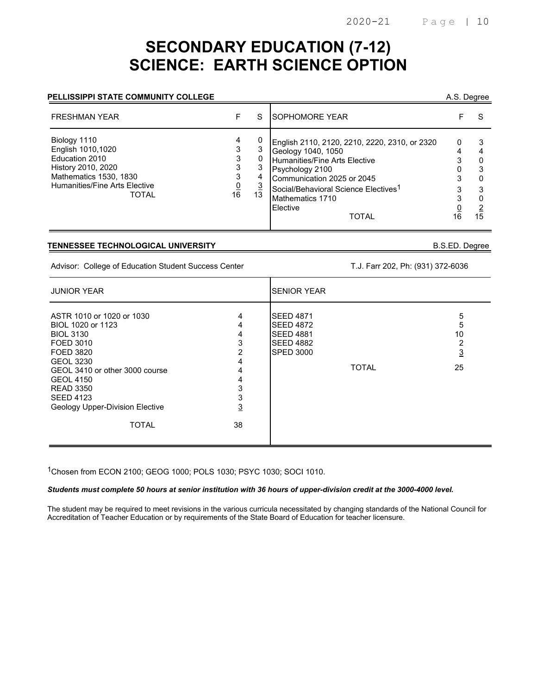# **SECONDARY EDUCATION (7-12) SCIENCE: EARTH SCIENCE OPTION**

#### **PELLISSIPPI STATE COMMUNITY COLLEGE** A.S. Degree

| <b>FRESHMAN YEAR</b>                                                                                                                                        |                               | S       | <b>ISOPHOMORE YEAR</b>                                                                                                                                                                                                                                           |         |    |
|-------------------------------------------------------------------------------------------------------------------------------------------------------------|-------------------------------|---------|------------------------------------------------------------------------------------------------------------------------------------------------------------------------------------------------------------------------------------------------------------------|---------|----|
| Biology 1110<br>English 1010,1020<br>Education 2010<br>History 2010, 2020<br><b>Mathematics 1530, 1830</b><br>Humanities/Fine Arts Elective<br><b>TOTAL</b> | 4<br>3<br>3<br>$\frac{0}{16}$ | 4<br>13 | English 2110, 2120, 2210, 2220, 2310, or 2320<br>Geology 1040, 1050<br><b>Humanities/Fine Arts Elective</b><br>Psychology 2100<br>Communication 2025 or 2045<br>Social/Behavioral Science Electives <sup>1</sup><br>Mathematics 1710<br>Elective<br><b>TOTAL</b> | 0<br>16 | 15 |

#### **TENNESSEE TECHNOLOGICAL UNIVERSITY** B.S.ED. Degree

Advisor: College of Education Student Success Center T.J. Farr 202, Ph: (931) 372-6036

| <b>JUNIOR YEAR</b>                                                                                                                                                                                                                                                |                                                                        | <b>SENIOR YEAR</b>                                                                                               |                                           |
|-------------------------------------------------------------------------------------------------------------------------------------------------------------------------------------------------------------------------------------------------------------------|------------------------------------------------------------------------|------------------------------------------------------------------------------------------------------------------|-------------------------------------------|
| ASTR 1010 or 1020 or 1030<br>BIOL 1020 or 1123<br><b>BIOL 3130</b><br>FOED 3010<br>FOED 3820<br><b>GEOL 3230</b><br>GEOL 3410 or other 3000 course<br><b>GEOL 4150</b><br><b>READ 3350</b><br><b>SEED 4123</b><br>Geology Upper-Division Elective<br><b>TOTAL</b> | 4<br>4<br>4<br>3<br>2<br>4<br>4<br>4<br>3<br>3<br>$\overline{3}$<br>38 | <b>SEED 4871</b><br><b>SEED 4872</b><br><b>SEED 4881</b><br><b>SEED 4882</b><br><b>SPED 3000</b><br><b>TOTAL</b> | 5<br>5<br>10<br>2<br>$\overline{3}$<br>25 |

1Chosen from ECON 2100; GEOG 1000; POLS 1030; PSYC 1030; SOCI 1010.

*Students must complete 50 hours at senior institution with 36 hours of upper-division credit at the 3000-4000 level.*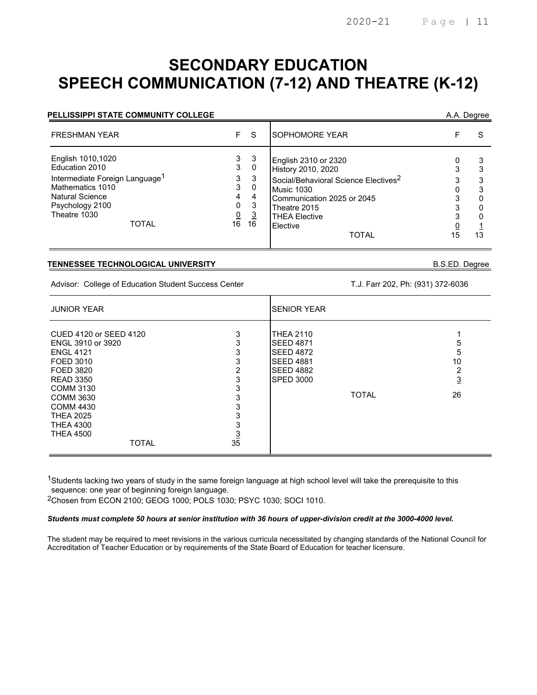## **SECONDARY EDUCATION SPEECH COMMUNICATION (7-12) AND THEATRE (K-12)**

| <b>PELLISSIPPI STATE COMMUNITY COLLEGE</b>                                                                                                                                  |                                              |                                                     |                                                                                                                                                                                                                       |    | A.A. Degree  |
|-----------------------------------------------------------------------------------------------------------------------------------------------------------------------------|----------------------------------------------|-----------------------------------------------------|-----------------------------------------------------------------------------------------------------------------------------------------------------------------------------------------------------------------------|----|--------------|
| <b>FRESHMAN YEAR</b>                                                                                                                                                        | F.                                           | <sub>S</sub>                                        | SOPHOMORE YEAR                                                                                                                                                                                                        |    | <sub>S</sub> |
| English 1010,1020<br>Education 2010<br>Intermediate Foreign Language <sup>1</sup><br>Mathematics 1010<br>Natural Science<br>Psychology 2100<br>Theatre 1030<br><b>TOTAL</b> | 3<br>3<br>3<br>3<br>4<br>0<br>$\frac{0}{16}$ | -3<br>0<br>3<br>0<br>4<br>3<br>$\overline{3}$<br>16 | English 2310 or 2320<br>History 2010, 2020<br>Social/Behavioral Science Electives <sup>2</sup><br><b>Music 1030</b><br>Communication 2025 or 2045<br>Theatre 2015<br><b>THEA Elective</b><br>Elective<br><b>TOTAL</b> | 15 | 13           |

#### **TENNESSEE TECHNOLOGICAL UNIVERSITY** B.S.ED. Degree

Advisor: College of Education Student Success Center T.J. Farr 202, Ph: (931) 372-6036

| <b>JUNIOR YEAR</b>                                                                                                                                                                                                                                    |                                                                       | <b>SENIOR YEAR</b>                                                                                                   |              |                                     |
|-------------------------------------------------------------------------------------------------------------------------------------------------------------------------------------------------------------------------------------------------------|-----------------------------------------------------------------------|----------------------------------------------------------------------------------------------------------------------|--------------|-------------------------------------|
| CUED 4120 or SEED 4120<br>ENGL 3910 or 3920<br><b>ENGL 4121</b><br>FOED 3010<br>FOED 3820<br><b>READ 3350</b><br><b>COMM 3130</b><br><b>COMM 3630</b><br><b>COMM 4430</b><br><b>THEA 2025</b><br><b>THEA 4300</b><br><b>THEA 4500</b><br><b>TOTAL</b> | 3<br>3<br>3<br>3<br>2<br>3<br>3<br>3<br>3<br>3<br>3<br>$\frac{3}{35}$ | <b>THEA 2110</b><br><b>SEED 4871</b><br><b>SEED 4872</b><br><b>SEED 4881</b><br><b>SEED 4882</b><br><b>SPED 3000</b> | <b>TOTAL</b> | 5<br>5<br>10<br>2<br><u>3</u><br>26 |

 $^{\text{1}}$ Students lacking two years of study in the same foreign language at high school level will take the prerequisite to this sequence: one year of beginning foreign language.

2Chosen from ECON 2100; GEOG 1000; POLS 1030; PSYC 1030; SOCI 1010.

#### *Students must complete 50 hours at senior institution with 36 hours of upper-division credit at the 3000-4000 level.*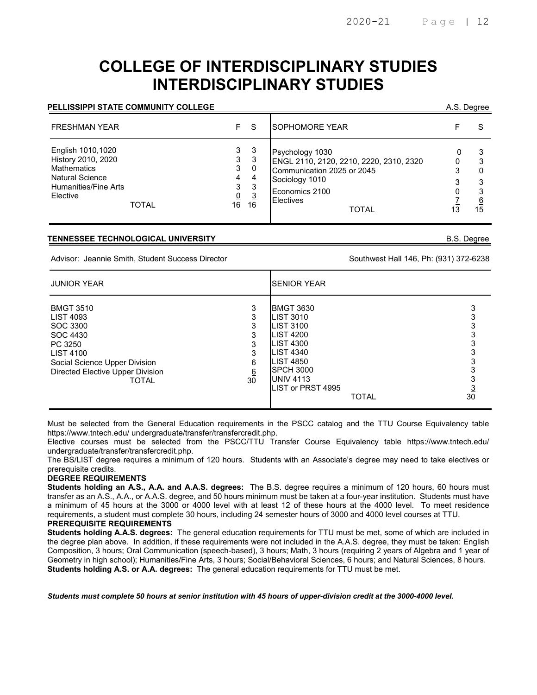## **COLLEGE OF INTERDISCIPLINARY STUDIES INTERDISCIPLINARY STUDIES**

#### **PELLISSIPPI STATE COMMUNITY COLLEGE** A.S. Degree

| <b>FRESHMAN YEAR</b>                                                                                                                        | F.                                             | <sub>S</sub>                                    | <b>SOPHOMORE YEAR</b>                                                                                                                                     |                     |
|---------------------------------------------------------------------------------------------------------------------------------------------|------------------------------------------------|-------------------------------------------------|-----------------------------------------------------------------------------------------------------------------------------------------------------------|---------------------|
| English 1010,1020<br>History 2010, 2020<br><b>Mathematics</b><br><b>Natural Science</b><br>Humanities/Fine Arts<br>Elective<br><b>TOTAL</b> | 3<br>3<br>3<br>4<br>3<br>$\underline{0}$<br>16 | -3<br>-3<br>0<br>4<br>3<br>$\overline{3}$<br>16 | Psychology 1030<br>ENGL 2110, 2120, 2210, 2220, 2310, 2320<br>Communication 2025 or 2045<br>Sociology 1010<br>Economics 2100<br>Electives<br><b>TOTAL</b> | 3<br><u>6</u><br>15 |

#### **TENNESSEE TECHNOLOGICAL UNIVERSITY** B.S. Degree

Advisor: Jeannie Smith, Student Success Director Success And The Southwest Hall 146, Ph: (931) 372-6238

| <b>JUNIOR YEAR</b>                                                                                                                                                 |                               | <b>SENIOR YEAR</b>                                                                                                                                                                                      |                |
|--------------------------------------------------------------------------------------------------------------------------------------------------------------------|-------------------------------|---------------------------------------------------------------------------------------------------------------------------------------------------------------------------------------------------------|----------------|
| <b>BMGT 3510</b><br>LIST 4093<br>SOC 3300<br>SOC 4430<br>PC 3250<br><b>LIST 4100</b><br>Social Science Upper Division<br>Directed Elective Upper Division<br>TOTAL | 3<br>3<br>6<br>$\frac{6}{30}$ | <b>BMGT 3630</b><br>LIST 3010<br><b>LIST 3100</b><br><b>LIST 4200</b><br><b>LIST 4300</b><br><b>LIST 4340</b><br><b>LIST 4850</b><br>SPCH 3000<br><b>UNIV 4113</b><br>LIST or PRST 4995<br><b>TOTAL</b> | $\frac{3}{30}$ |

Must be selected from the General Education requirements in the PSCC catalog and the TTU Course Equivalency table https://www.tntech.edu/ undergraduate/transfer/transfercredit.php.

Elective courses must be selected from the PSCC/TTU Transfer Course Equivalency table https://www.tntech.edu/ undergraduate/transfer/transfercredit.php.

The BS/LIST degree requires a minimum of 120 hours. Students with an Associate's degree may need to take electives or prerequisite credits.

#### **DEGREE REQUIREMENTS**

**Students holding an A.S., A.A. and A.A.S. degrees:** The B.S. degree requires a minimum of 120 hours, 60 hours must transfer as an A.S., A.A., or A.A.S. degree, and 50 hours minimum must be taken at a four-year institution. Students must have a minimum of 45 hours at the 3000 or 4000 level with at least 12 of these hours at the 4000 level. To meet residence requirements, a student must complete 30 hours, including 24 semester hours of 3000 and 4000 level courses at TTU. **PREREQUISITE REQUIREMENTS**

**Students holding A.A.S. degrees:** The general education requirements for TTU must be met, some of which are included in the degree plan above. In addition, if these requirements were not included in the A.A.S. degree, they must be taken: English Composition, 3 hours; Oral Communication (speech-based), 3 hours; Math, 3 hours (requiring 2 years of Algebra and 1 year of Geometry in high school); Humanities/Fine Arts, 3 hours; Social/Behavioral Sciences, 6 hours; and Natural Sciences, 8 hours. **Students holding A.S. or A.A. degrees:** The general education requirements for TTU must be met.

*Students must complete 50 hours at senior institution with 45 hours of upper-division credit at the 3000-4000 level.*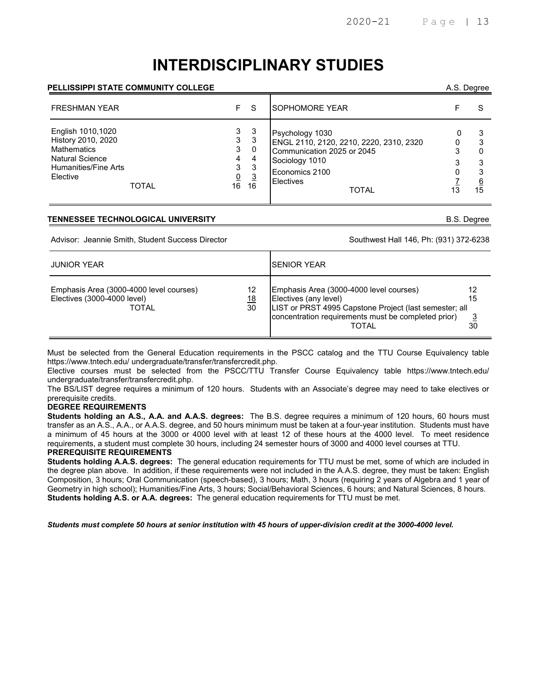# **INTERDISCIPLINARY STUDIES**

#### **PELLISSIPPI STATE COMMUNITY COLLEGE** A.S. Degree

| <b>FRESHMAN YEAR</b>                                                                                                                 | F.                                            | - S                                      | <b>SOPHOMORE YEAR</b>                                                                                                                                     |         |
|--------------------------------------------------------------------------------------------------------------------------------------|-----------------------------------------------|------------------------------------------|-----------------------------------------------------------------------------------------------------------------------------------------------------------|---------|
| English 1010,1020<br>History 2010, 2020<br><b>Mathematics</b><br><b>Natural Science</b><br>Humanities/Fine Arts<br>Elective<br>TOTAL | 3<br>3<br>3<br>4<br>3<br>$\overline{0}$<br>16 | -3<br>3<br>0<br>4<br>3<br>$\frac{3}{16}$ | Psychology 1030<br>ENGL 2110, 2120, 2210, 2220, 2310, 2320<br>Communication 2025 or 2045<br>Sociology 1010<br>Economics 2100<br><b>Electives</b><br>TOTAL | 3<br>15 |

#### **TENNESSEE TECHNOLOGICAL UNIVERSITY** B.S. Degree

Advisor: Jeannie Smith, Student Success Director Success Supervention Southwest Hall 146, Ph: (931) 372-6238

| <b>JUNIOR YEAR</b>                                                              |                        | <b>ISENIOR YEAR</b>                                                                                                                                                                        |                |
|---------------------------------------------------------------------------------|------------------------|--------------------------------------------------------------------------------------------------------------------------------------------------------------------------------------------|----------------|
| Emphasis Area (3000-4000 level courses)<br>Electives (3000-4000 level)<br>TOTAL | 12<br><u> 18</u><br>30 | Emphasis Area (3000-4000 level courses)<br>Electives (any level)<br>LIST or PRST 4995 Capstone Project (last semester; all<br>concentration requirements must be completed prior)<br>TOTAL | 12<br>15<br>30 |

Must be selected from the General Education requirements in the PSCC catalog and the TTU Course Equivalency table https://www.tntech.edu/ undergraduate/transfer/transfercredit.php.

Elective courses must be selected from the PSCC/TTU Transfer Course Equivalency table https://www.tntech.edu/ undergraduate/transfer/transfercredit.php.

The BS/LIST degree requires a minimum of 120 hours. Students with an Associate's degree may need to take electives or prerequisite credits.

#### **DEGREE REQUIREMENTS**

**Students holding an A.S., A.A. and A.A.S. degrees:** The B.S. degree requires a minimum of 120 hours, 60 hours must transfer as an A.S., A.A., or A.A.S. degree, and 50 hours minimum must be taken at a four-year institution. Students must have a minimum of 45 hours at the 3000 or 4000 level with at least 12 of these hours at the 4000 level. To meet residence requirements, a student must complete 30 hours, including 24 semester hours of 3000 and 4000 level courses at TTU.

#### **PREREQUISITE REQUIREMENTS**

**Students holding A.A.S. degrees:** The general education requirements for TTU must be met, some of which are included in the degree plan above. In addition, if these requirements were not included in the A.A.S. degree, they must be taken: English Composition, 3 hours; Oral Communication (speech-based), 3 hours; Math, 3 hours (requiring 2 years of Algebra and 1 year of Geometry in high school); Humanities/Fine Arts, 3 hours; Social/Behavioral Sciences, 6 hours; and Natural Sciences, 8 hours. **Students holding A.S. or A.A. degrees:** The general education requirements for TTU must be met.

*Students must complete 50 hours at senior institution with 45 hours of upper-division credit at the 3000-4000 level.*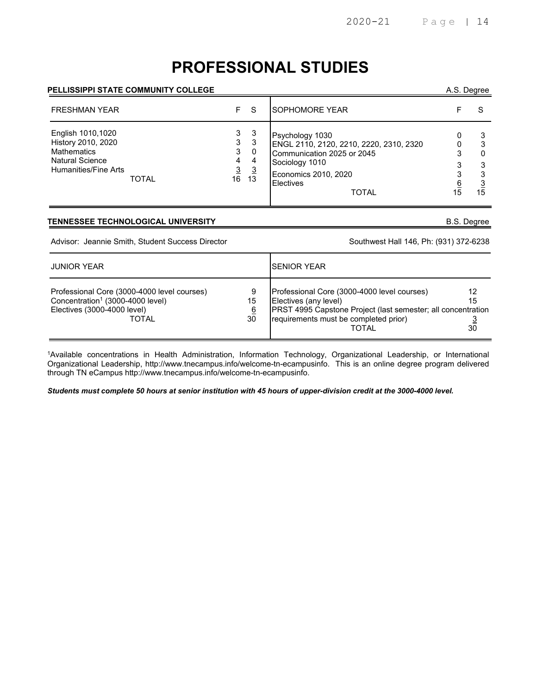# **PROFESSIONAL STUDIES**

#### **PELLISSIPPI STATE COMMUNITY COLLEGE** A.S. Degree

| <b>FRESHMAN YEAR</b>                                                                                            |       | F.                                                    | -S                                        | <b>ISOPHOMORE YEAR</b>                                                                                                                                                 |         |         |
|-----------------------------------------------------------------------------------------------------------------|-------|-------------------------------------------------------|-------------------------------------------|------------------------------------------------------------------------------------------------------------------------------------------------------------------------|---------|---------|
| English 1010,1020<br>History 2010, 2020<br><b>Mathematics</b><br><b>Natural Science</b><br>Humanities/Fine Arts | TOTAL | 3<br>3<br>3<br>4<br>$\overline{3}$<br>16 <sup>1</sup> | -3<br>3<br>0<br>4<br>$\overline{3}$<br>13 | Psychology 1030<br>ENGL 2110, 2120, 2210, 2220, 2310, 2320<br>Communication 2025 or 2045<br>Sociology 1010<br>Economics 2010, 2020<br><b>Electives</b><br><b>TOTAL</b> | 6<br>15 | 3<br>15 |

#### **TENNESSEE TECHNOLOGICAL UNIVERSITY B.S. Degree**

Advisor: Jeannie Smith, Student Success Director Southwest Hall 146, Ph: (931) 372-6238

| <b>JUNIOR YEAR</b>                                                                                                                         |                           | ISENIOR YEAR                                                                                                                                                                                  |                |
|--------------------------------------------------------------------------------------------------------------------------------------------|---------------------------|-----------------------------------------------------------------------------------------------------------------------------------------------------------------------------------------------|----------------|
| Professional Core (3000-4000 level courses)<br>Concentration <sup>1</sup> (3000-4000 level)<br>Electives (3000-4000 level)<br><b>TOTAL</b> | 9<br>15<br><u>6</u><br>30 | Professional Core (3000-4000 level courses)<br>Electives (any level)<br>PRST 4995 Capstone Project (last semester; all concentration<br>requirements must be completed prior)<br><b>TOTAL</b> | 12<br>15<br>30 |

1Available concentrations in Health Administration, Information Technology, Organizational Leadership, or International Organizational Leadership, http://www.tnecampus.info/welcome-tn-ecampusinfo. This is an online degree program delivered through TN eCampus http://www.tnecampus.info/welcome-tn-ecampusinfo.

*Students must complete 50 hours at senior institution with 45 hours of upper-division credit at the 3000-4000 level.*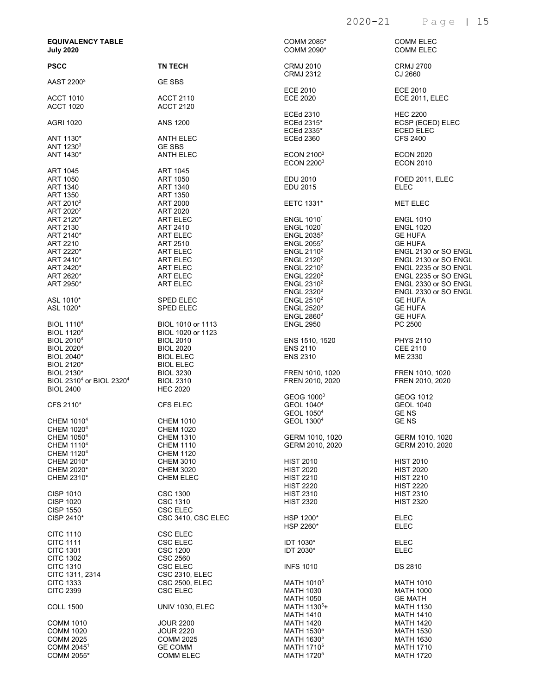### 2020-21 Page | 15

| <b>EQUIVALENCY TABLE</b><br><b>July 2020</b>                         |                                      | COMM 2085*<br>COMM 2090*                               | <b>COMM ELEC</b><br><b>COMM ELEC</b>                    |
|----------------------------------------------------------------------|--------------------------------------|--------------------------------------------------------|---------------------------------------------------------|
| <b>PSCC</b>                                                          | <b>TN TECH</b>                       | <b>CRMJ 2010</b><br><b>CRMJ 2312</b>                   | <b>CRMJ 2700</b><br>CJ 2660                             |
| AAST 2200 <sup>3</sup>                                               | <b>GE SBS</b>                        |                                                        |                                                         |
| <b>ACCT 1010</b><br><b>ACCT 1020</b>                                 | <b>ACCT 2110</b><br><b>ACCT 2120</b> | ECE 2010<br><b>ECE 2020</b>                            | ECE 2010<br><b>ECE 2011, ELEC</b>                       |
| <b>AGRI 1020</b>                                                     | <b>ANS 1200</b>                      | ECEd 2310<br>ECEd 2315*<br>ECEd 2335*                  | <b>HEC 2200</b><br>ECSP (ECED) ELEC<br><b>ECED ELEC</b> |
| ANT 1130*                                                            | ANTH ELEC                            | <b>ECEd 2360</b>                                       | <b>CFS 2400</b>                                         |
| ANT 1230 <sup>3</sup><br>ANT 1430*                                   | <b>GE SBS</b><br><b>ANTH ELEC</b>    | ECON 2100 <sup>3</sup><br>ECON 2200 <sup>3</sup>       | <b>ECON 2020</b><br><b>ECON 2010</b>                    |
| ART 1045<br>ART 1050                                                 | ART 1045<br>ART 1050                 | EDU 2010                                               |                                                         |
| ART 1340                                                             | ART 1340                             | EDU 2015                                               | FOED 2011, ELEC<br><b>ELEC</b>                          |
| ART 1350                                                             | ART 1350                             |                                                        |                                                         |
| ART 2010 <sup>2</sup><br>ART 2020 <sup>2</sup>                       | ART 2000<br>ART 2020                 | EETC 1331*                                             | <b>MET ELEC</b>                                         |
| ART 2120*                                                            | ART ELEC                             | <b>ENGL 1010<sup>1</sup></b>                           | <b>ENGL 1010</b>                                        |
| ART 2130<br>ART 2140*                                                | ART 2410<br><b>ART ELEC</b>          | <b>ENGL 1020<sup>1</sup></b><br>ENGL 2035 <sup>2</sup> | <b>ENGL 1020</b><br><b>GE HUFA</b>                      |
| ART 2210                                                             | ART 2510                             | ENGL $2055^2$                                          | <b>GE HUFA</b>                                          |
| ART 2220*                                                            | ART ELEC                             | ENGL $2110^2$                                          | ENGL 2130 or SO ENGL                                    |
| ART 2410*                                                            | ART ELEC                             | ENGL 2120 <sup>2</sup>                                 | ENGL 2130 or SO ENGL                                    |
| ART 2420*<br>ART 2620*                                               | <b>ART ELEC</b><br>ART ELEC          | ENGL $2210^2$<br>ENGL 2220 <sup>2</sup>                | ENGL 2235 or SO ENGL<br>ENGL 2235 or SO ENGL            |
| ART 2950*                                                            | ART ELEC                             | ENGL $2310^2$                                          | ENGL 2330 or SO ENGL                                    |
|                                                                      |                                      | ENGL $2320^2$                                          | ENGL 2330 or SO ENGL                                    |
| ASL 1010*                                                            | <b>SPED ELEC</b>                     | ENGL $2510^2$                                          | <b>GE HUFA</b>                                          |
| ASL 1020*                                                            | <b>SPED ELEC</b>                     | ENGL $2520^2$<br>ENGL 2860 <sup>2</sup>                | <b>GE HUFA</b><br><b>GE HUFA</b>                        |
| <b>BIOL 11104</b>                                                    | BIOL 1010 or 1113                    | <b>ENGL 2950</b>                                       | PC 2500                                                 |
| <b>BIOL 1120<sup>4</sup></b>                                         | BIOL 1020 or 1123                    |                                                        |                                                         |
| <b>BIOL 2010<sup>4</sup></b><br><b>BIOL 2020<sup>4</sup></b>         | <b>BIOL 2010</b>                     | ENS 1510, 1520<br><b>ENS 2110</b>                      | <b>PHYS 2110</b><br><b>CEE 2110</b>                     |
| <b>BIOL 2040*</b>                                                    | <b>BIOL 2020</b><br><b>BIOL ELEC</b> | <b>ENS 2310</b>                                        | ME 2330                                                 |
| BIOL 2120*                                                           | <b>BIOL ELEC</b>                     |                                                        |                                                         |
| BIOL 2130*                                                           | <b>BIOL 3230</b>                     | FREN 1010, 1020                                        | FREN 1010, 1020                                         |
| BIOL 2310 <sup>4</sup> or BIOL 2320 <sup>4</sup><br><b>BIOL 2400</b> | <b>BIOL 2310</b><br><b>HEC 2020</b>  | FREN 2010, 2020                                        | FREN 2010, 2020                                         |
|                                                                      |                                      | GEOG 1000 <sup>3</sup>                                 | GEOG 1012                                               |
| CFS 2110*                                                            | <b>CFS ELEC</b>                      | GEOL 1040 <sup>4</sup>                                 | <b>GEOL 1040</b>                                        |
|                                                                      |                                      | GEOL 1050 <sup>4</sup>                                 | <b>GENS</b>                                             |
| CHEM 1010 <sup>4</sup><br>CHEM 1020 <sup>4</sup>                     | <b>CHEM 1010</b><br><b>CHEM 1020</b> | GEOL 1300 <sup>4</sup>                                 | <b>GENS</b>                                             |
| CHEM 1050 <sup>4</sup>                                               | <b>CHEM 1310</b>                     | GERM 1010, 1020                                        | GERM 1010, 1020                                         |
| CHEM 1110 <sup>4</sup>                                               | <b>CHEM 1110</b>                     | GERM 2010, 2020                                        | GERM 2010, 2020                                         |
| CHEM 1120 <sup>4</sup>                                               | <b>CHEM 1120</b><br><b>CHEM 3010</b> |                                                        |                                                         |
| CHEM 2010*<br>CHEM 2020*                                             | <b>CHEM 3020</b>                     | <b>HIST 2010</b><br><b>HIST 2020</b>                   | <b>HIST 2010</b><br><b>HIST 2020</b>                    |
| CHEM 2310*                                                           | <b>CHEM ELEC</b>                     | <b>HIST 2210</b>                                       | <b>HIST 2210</b>                                        |
|                                                                      |                                      | <b>HIST 2220</b>                                       | <b>HIST 2220</b>                                        |
| <b>CISP 1010</b><br><b>CISP 1020</b>                                 | <b>CSC 1300</b><br>CSC 1310          | <b>HIST 2310</b><br><b>HIST 2320</b>                   | <b>HIST 2310</b><br><b>HIST 2320</b>                    |
| <b>CISP 1550</b>                                                     | <b>CSC ELEC</b>                      |                                                        |                                                         |
| CISP 2410*                                                           | CSC 3410, CSC ELEC                   | HSP 1200*<br>HSP 2260*                                 | ELEC<br><b>ELEC</b>                                     |
| <b>CITC 1110</b>                                                     | CSC ELEC                             |                                                        |                                                         |
| <b>CITC 1111</b>                                                     | CSC ELEC                             | <b>IDT 1030*</b>                                       | <b>ELEC</b>                                             |
| <b>CITC 1301</b><br><b>CITC 1302</b>                                 | <b>CSC 1200</b><br><b>CSC 2560</b>   | IDT 2030*                                              | <b>ELEC</b>                                             |
| <b>CITC 1310</b>                                                     | CSC ELEC                             | <b>INFS 1010</b>                                       | DS 2810                                                 |
| CITC 1311, 2314                                                      | <b>CSC 2310, ELEC</b>                |                                                        |                                                         |
| <b>CITC 1333</b>                                                     | <b>CSC 2500, ELEC</b>                | MATH 1010 <sup>5</sup>                                 | <b>MATH 1010</b>                                        |
| <b>CITC 2399</b>                                                     | CSC ELEC                             | <b>MATH 1030</b><br><b>MATH 1050</b>                   | <b>MATH 1000</b><br><b>GE MATH</b>                      |
| <b>COLL 1500</b>                                                     | <b>UNIV 1030, ELEC</b>               | MATH 1130 <sup>5</sup> +                               | <b>MATH 1130</b>                                        |
|                                                                      |                                      | <b>MATH 1410</b>                                       | <b>MATH 1410</b>                                        |
| COMM 1010                                                            | <b>JOUR 2200</b>                     | <b>MATH 1420</b>                                       | <b>MATH 1420</b>                                        |
| <b>COMM 1020</b><br><b>COMM 2025</b>                                 | JOUR 2220<br><b>COMM 2025</b>        | MATH 1530 <sup>5</sup><br>MATH 1630 <sup>5</sup>       | <b>MATH 1530</b><br><b>MATH 1630</b>                    |
| COMM 2045 <sup>1</sup>                                               | <b>GE COMM</b>                       | MATH 1710 <sup>5</sup>                                 | <b>MATH 1710</b>                                        |
| COMM 2055*                                                           | <b>COMM ELEC</b>                     | MATH 1720 <sup>5</sup>                                 | <b>MATH 1720</b>                                        |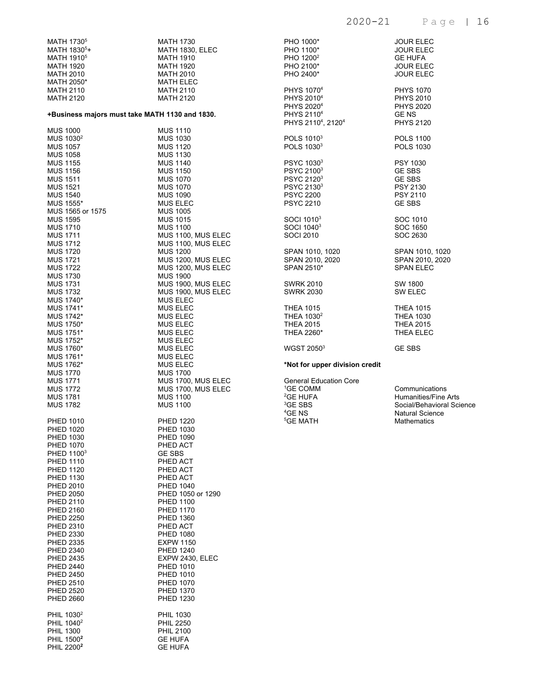| MATH 1730 <sup>5</sup>                         | MATH 1730          |  |  |  |
|------------------------------------------------|--------------------|--|--|--|
|                                                |                    |  |  |  |
| MATH 1830 <sup>5</sup> +                       | MATH 1830, ELEC    |  |  |  |
| MATH 1910 <sup>5</sup>                         | MATH 1910          |  |  |  |
| MATH 1920                                      | <b>MATH 1920</b>   |  |  |  |
| <b>MATH 2010</b>                               | <b>MATH 2010</b>   |  |  |  |
|                                                |                    |  |  |  |
| MATH 2050*                                     | <b>MATH ELEC</b>   |  |  |  |
| <b>MATH 2110</b>                               | <b>MATH 2110</b>   |  |  |  |
| <b>MATH 2120</b>                               | <b>MATH 2120</b>   |  |  |  |
| +Business majors must take MATH 1130 and 1830. |                    |  |  |  |
|                                                |                    |  |  |  |
| MUS 1000                                       | <b>MUS 1110</b>    |  |  |  |
| MUS 1030 <sup>2</sup>                          | <b>MUS 1030</b>    |  |  |  |
| <b>MUS 1057</b>                                | <b>MUS 1120</b>    |  |  |  |
| <b>MUS 1058</b>                                | <b>MUS 1130</b>    |  |  |  |
| <b>MUS 1155</b>                                | <b>MUS 1140</b>    |  |  |  |
| <b>MUS 1156</b>                                | <b>MUS 1150</b>    |  |  |  |
| <b>MUS 1511</b>                                | <b>MUS 1070</b>    |  |  |  |
|                                                |                    |  |  |  |
| <b>MUS 1521</b>                                | <b>MUS 1070</b>    |  |  |  |
| <b>MUS 1540</b>                                | <b>MUS 1090</b>    |  |  |  |
| MUS 1555*                                      | <b>MUS ELEC</b>    |  |  |  |
| MUS 1565 or 1575                               | <b>MUS 1005</b>    |  |  |  |
| <b>MUS 1595</b>                                | <b>MUS 1015</b>    |  |  |  |
| <b>MUS 1710</b>                                | <b>MUS 1100</b>    |  |  |  |
|                                                |                    |  |  |  |
| <b>MUS 1711</b>                                | MUS 1100, MUS ELEC |  |  |  |
| <b>MUS 1712</b>                                | MUS 1100, MUS ELEC |  |  |  |
| <b>MUS 1720</b>                                | <b>MUS 1200</b>    |  |  |  |
| <b>MUS 1721</b>                                | MUS 1200, MUS ELEC |  |  |  |
| <b>MUS 1722</b>                                | MUS 1200, MUS ELEC |  |  |  |
|                                                |                    |  |  |  |
| <b>MUS 1730</b>                                | <b>MUS 1900</b>    |  |  |  |
| <b>MUS 1731</b>                                | MUS 1900, MUS ELEC |  |  |  |
| <b>MUS 1732</b>                                | MUS 1900, MUS ELEC |  |  |  |
| MUS 1740*                                      | <b>MUS ELEC</b>    |  |  |  |
| MUS 1741*                                      | <b>MUS ELEC</b>    |  |  |  |
| MUS 1742*                                      | <b>MUS ELEC</b>    |  |  |  |
| MUS 1750*                                      |                    |  |  |  |
|                                                | <b>MUS ELEC</b>    |  |  |  |
| MUS 1751*                                      | <b>MUS ELEC</b>    |  |  |  |
| MUS 1752*                                      | <b>MUS ELEC</b>    |  |  |  |
| MUS 1760*                                      | <b>MUS ELEC</b>    |  |  |  |
| MUS 1761*                                      | <b>MUS ELEC</b>    |  |  |  |
| MUS 1762*                                      | <b>MUS ELEC</b>    |  |  |  |
|                                                |                    |  |  |  |
| <b>MUS 1770</b>                                | <b>MUS 1700</b>    |  |  |  |
| <b>MUS 1771</b>                                | MUS 1700, MUS ELEC |  |  |  |
| <b>MUS 1772</b>                                | MUS 1700, MUS ELEC |  |  |  |
| <b>MUS 1781</b>                                | <b>MUS 1100</b>    |  |  |  |
| <b>MUS 1782</b>                                | <b>MUS 1100</b>    |  |  |  |
|                                                |                    |  |  |  |
| <b>PHED 1010</b>                               | <b>PHED 1220</b>   |  |  |  |
| <b>PHED 1020</b>                               | PHED 1030          |  |  |  |
| PHED 1030                                      | PHED 1090          |  |  |  |
| <b>PHED 1070</b>                               | PHED ACT           |  |  |  |
| PHED 1100 <sup>3</sup>                         | GE SBS             |  |  |  |
| <b>PHED 1110</b>                               |                    |  |  |  |
|                                                | PHED ACT           |  |  |  |
| <b>PHED 1120</b>                               | PHED ACT           |  |  |  |
| <b>PHED 1130</b>                               | PHED ACT           |  |  |  |
| <b>PHED 2010</b>                               | <b>PHED 1040</b>   |  |  |  |
| <b>PHED 2050</b>                               | PHED 1050 or 1290  |  |  |  |
| <b>PHED 2110</b>                               | <b>PHED 1100</b>   |  |  |  |
|                                                |                    |  |  |  |
| <b>PHED 2160</b>                               | <b>PHED 1170</b>   |  |  |  |
| <b>PHED 2250</b>                               | PHED 1360          |  |  |  |
| <b>PHED 2310</b>                               | PHED ACT           |  |  |  |
| PHED 2330                                      | <b>PHED 1080</b>   |  |  |  |
| PHED 2335                                      | <b>EXPW 1150</b>   |  |  |  |
| <b>PHED 2340</b>                               | PHED 1240          |  |  |  |
|                                                |                    |  |  |  |
| <b>PHED 2435</b>                               | EXPW 2430, ELEC    |  |  |  |
| <b>PHED 2440</b>                               | <b>PHED 1010</b>   |  |  |  |
| <b>PHED 2450</b>                               | <b>PHED 1010</b>   |  |  |  |
| <b>PHED 2510</b>                               | <b>PHED 1070</b>   |  |  |  |
| <b>PHED 2520</b>                               | <b>PHED 1370</b>   |  |  |  |
| <b>PHED 2660</b>                               | PHED 1230          |  |  |  |
|                                                |                    |  |  |  |
|                                                |                    |  |  |  |
| PHIL 1030 <sup>2</sup>                         | <b>PHIL 1030</b>   |  |  |  |
| PHIL 1040 <sup>2</sup>                         | <b>PHIL 2250</b>   |  |  |  |
| <b>PHIL 1300</b>                               | <b>PHIL 2100</b>   |  |  |  |
| PHIL 1500 <sup>2</sup>                         | <b>GE HUFA</b>     |  |  |  |
| PHIL 2200 <sup>2</sup>                         | <b>GE HUFA</b>     |  |  |  |
|                                                |                    |  |  |  |

| PHO 1000*                                                                                                                                          | <b>JOUR ELEC</b>                                                                                                           |
|----------------------------------------------------------------------------------------------------------------------------------------------------|----------------------------------------------------------------------------------------------------------------------------|
| PHO 1100*                                                                                                                                          | <b>JOUR ELEC</b>                                                                                                           |
| PHO 1200 <sup>2</sup>                                                                                                                              | <b>GE HUFA</b>                                                                                                             |
| PHO 2100*                                                                                                                                          | <b>JOUR ELEC</b>                                                                                                           |
| PHO 2400*                                                                                                                                          | <b>JOUR ELEC</b>                                                                                                           |
| PHYS 1070 <sup>4</sup>                                                                                                                             | <b>PHYS 1070</b>                                                                                                           |
| PHYS 2010 <sup>4</sup>                                                                                                                             | <b>PHYS 2010</b>                                                                                                           |
| PHYS 2020 <sup>4</sup>                                                                                                                             | <b>PHYS 2020</b>                                                                                                           |
| PHYS 2110 <sup>4</sup>                                                                                                                             | <b>GENS</b>                                                                                                                |
| PHYS 2110 <sup>4</sup> , 2120 <sup>4</sup>                                                                                                         | <b>PHYS 2120</b>                                                                                                           |
| POLS 1010 <sup>3</sup>                                                                                                                             | <b>POLS 1100</b>                                                                                                           |
| POLS 1030 <sup>3</sup>                                                                                                                             | <b>POLS 1030</b>                                                                                                           |
| PSYC 1030 <sup>3</sup>                                                                                                                             | <b>PSY 1030</b>                                                                                                            |
| PSYC 2100 <sup>3</sup>                                                                                                                             | <b>GE SBS</b>                                                                                                              |
| PSYC 2120 <sup>3</sup>                                                                                                                             | <b>GE SBS</b>                                                                                                              |
| PSYC 2130 <sup>3</sup>                                                                                                                             | <b>PSY 2130</b>                                                                                                            |
| <b>PSYC 2200</b>                                                                                                                                   | <b>PSY 2110</b>                                                                                                            |
| <b>PSYC 2210</b>                                                                                                                                   | <b>GE SBS</b>                                                                                                              |
| SOCI 1010 <sup>3</sup>                                                                                                                             | SOC 1010                                                                                                                   |
| SOCI 1040 <sup>3</sup>                                                                                                                             | SOC 1650                                                                                                                   |
| <b>SOCI 2010</b>                                                                                                                                   | SOC 2630                                                                                                                   |
| SPAN 1010, 1020                                                                                                                                    | SPAN 1010, 1020                                                                                                            |
| SPAN 2010, 2020                                                                                                                                    | SPAN 2010, 2020                                                                                                            |
| SPAN 2510*                                                                                                                                         | <b>SPAN ELEC</b>                                                                                                           |
| <b>SWRK 2010</b>                                                                                                                                   | SW 1800                                                                                                                    |
| <b>SWRK 2030</b>                                                                                                                                   | <b>SW ELEC</b>                                                                                                             |
| <b>THEA 1015</b>                                                                                                                                   | <b>THEA 1015</b>                                                                                                           |
| THEA 1030 <sup>2</sup>                                                                                                                             | <b>THEA 1030</b>                                                                                                           |
| <b>THEA 2015</b>                                                                                                                                   | <b>THEA 2015</b>                                                                                                           |
| THEA 2260*                                                                                                                                         | THEA ELEC                                                                                                                  |
| WGST 2050 <sup>3</sup>                                                                                                                             | <b>GE SBS</b>                                                                                                              |
| *Not for upper division credit                                                                                                                     |                                                                                                                            |
| <b>General Education Core</b><br><sup>1</sup> GE COMM<br><sup>2</sup> GE HUFA<br><sup>3</sup> GE SBS<br><sup>4</sup> GE NS<br><sup>5</sup> GE MATH | Communications<br><b>Humanities/Fine Arts</b><br>Social/Behavioral Science<br><b>Natural Science</b><br><b>Mathematics</b> |
|                                                                                                                                                    |                                                                                                                            |